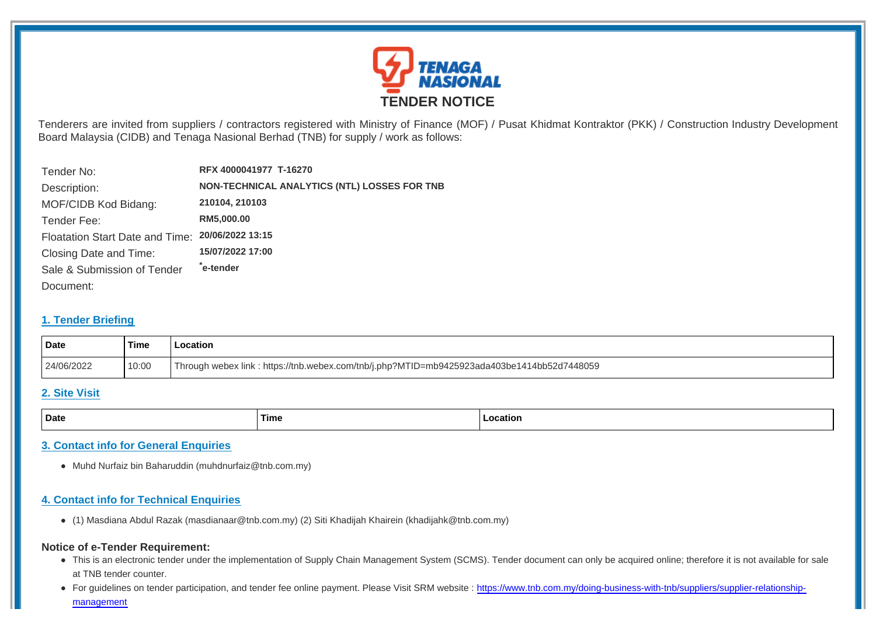

Tenderers are invited from suppliers / contractors registered with Ministry of Finance (MOF) / Pusat Khidmat Kontraktor (PKK) / Construction Industry Development Board Malaysia (CIDB) and Tenaga Nasional Berhad (TNB) for supply / work as follows:

| Tender No:                      | RFX 4000041977 T-16270                       |
|---------------------------------|----------------------------------------------|
| Description:                    | NON-TECHNICAL ANALYTICS (NTL) LOSSES FOR TNB |
| MOF/CIDB Kod Bidang:            | 210104, 210103                               |
| Tender Fee:                     | RM5,000.00                                   |
| Floatation Start Date and Time: | 20/06/2022 13:15                             |
| Closing Date and Time:          | 15/07/2022 17:00                             |
| Sale & Submission of Tender     | ê-tender*                                    |
| Document:                       |                                              |

### **1. Tender Briefing**

| Date       | Time  | .ocation                                                                                   |  |
|------------|-------|--------------------------------------------------------------------------------------------|--|
| 24/06/2022 | 10:00 | Through webex link: https://tnb.webex.com/tnb/j.php?MTID=mb9425923ada403be1414bb52d7448059 |  |

#### **2. Site Visit**

| Date | Time | atiol |
|------|------|-------|
|      |      |       |

## **3. Contact info for General Enquiries**

Muhd Nurfaiz bin Baharuddin (muhdnurfaiz@tnb.com.my)

### **4. Contact info for Technical Enquiries**

(1) Masdiana Abdul Razak (masdianaar@tnb.com.my) (2) Siti Khadijah Khairein (khadijahk@tnb.com.my)

#### **Notice of e-Tender Requirement:**

- This is an electronic tender under the implementation of Supply Chain Management System (SCMS). Tender document can only be acquired online; therefore it is not available for sale at TNB tender counter.
- For guidelines on tender participation, and tender fee online payment. Please Visit SRM website : https://www.tnb.com.my/doing-business-with-tnb/suppliers/supplier-relationshipmanagement